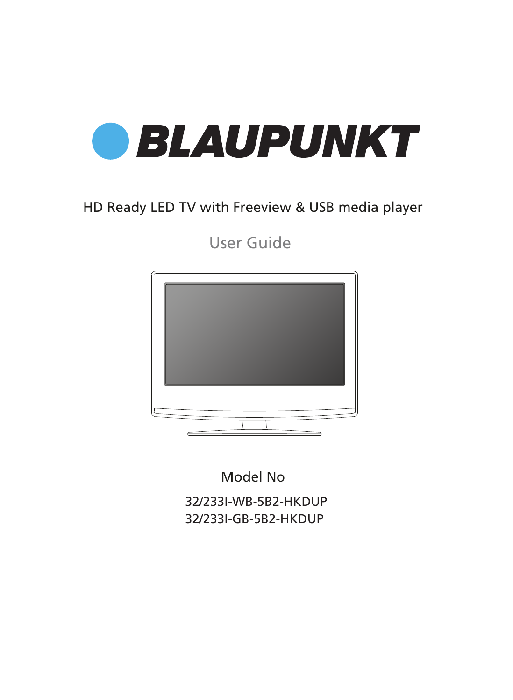

### HD Ready LED TV with Freeview & USB media player

User Guide



Model No

32/233I-WB-5B2-HKDUP 32/233I-GB-5B2-HKDUP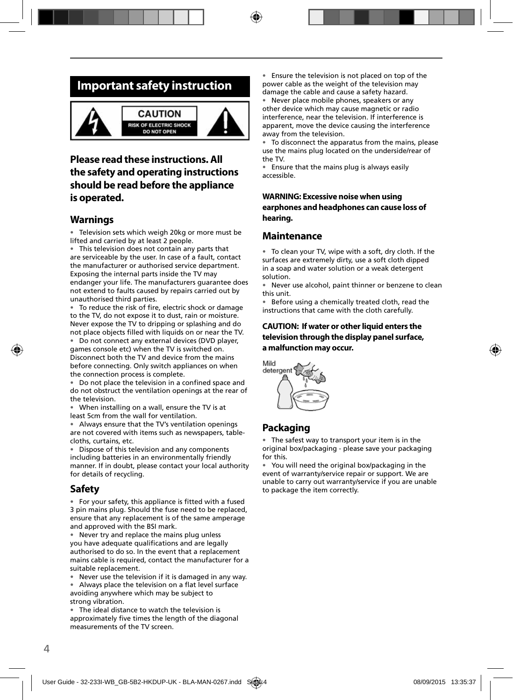### **Important safety instruction**



### **Please read these instructions. All the safety and operating instructions should be read before the appliance is operated.**

#### **Warnings**

• Television sets which weigh 20kg or more must be lifted and carried by at least 2 people.

This television does not contain any parts that are serviceable by the user. In case of a fault, contact the manufacturer or authorised service department. Exposing the internal parts inside the TV may endanger your life. The manufacturers guarantee does not extend to faults caused by repairs carried out by unauthorised third parties.

To reduce the risk of fire, electric shock or damage to the TV, do not expose it to dust, rain or moisture. Never expose the TV to dripping or splashing and do not place objects filled with liquids on or near the TV.

• Do not connect any external devices (DVD player, games console etc) when the TV is switched on. Disconnect both the TV and device from the mains before connecting. Only switch appliances on when the connection process is complete.

Do not place the television in a confined space and do not obstruct the ventilation openings at the rear of the television.

• When installing on a wall, ensure the TV is at least 5cm from the wall for ventilation.

• Always ensure that the TV's ventilation openings are not covered with items such as newspapers, tablecloths, curtains, etc.

• Dispose of this television and any components including batteries in an environmentally friendly manner. If in doubt, please contact your local authority for details of recycling.

#### **Safety**

• For your safety, this appliance is fitted with a fused 3 pin mains plug. Should the fuse need to be replaced, ensure that any replacement is of the same amperage and approved with the BSI mark.

• Never try and replace the mains plug unless you have adequate qualifications and are legally authorised to do so. In the event that a replacement mains cable is required, contact the manufacturer for a suitable replacement.

• Never use the television if it is damaged in any way.

• Always place the television on a flat level surface avoiding anywhere which may be subject to strong vibration.

• The ideal distance to watch the television is approximately five times the length of the diagonal measurements of the TV screen.

• Ensure the television is not placed on top of the power cable as the weight of the television may damage the cable and cause a safety hazard.

• Never place mobile phones, speakers or any other device which may cause magnetic or radio interference, near the television. If interference is apparent, move the device causing the interference away from the television.

• To disconnect the apparatus from the mains, please use the mains plug located on the underside/rear of the TV.

• Ensure that the mains plug is always easily accessible.

#### **WARNING: Excessive noise when using earphones and headphones can cause loss of hearing.**

#### **Maintenance**

• To clean your TV, wipe with a soft, dry cloth. If the surfaces are extremely dirty, use a soft cloth dipped in a soap and water solution or a weak detergent solution.

• Never use alcohol, paint thinner or benzene to clean this unit.

• Before using a chemically treated cloth, read the instructions that came with the cloth carefully.

#### **CAUTION: If water or other liquid enters the television through the display panel surface, a malfunction may occur.**



### **Packaging**

• The safest way to transport your item is in the original box/packaging - please save your packaging for this.

• You will need the original box/packaging in the event of warranty/service repair or support. We are unable to carry out warranty/service if you are unable to package the item correctly.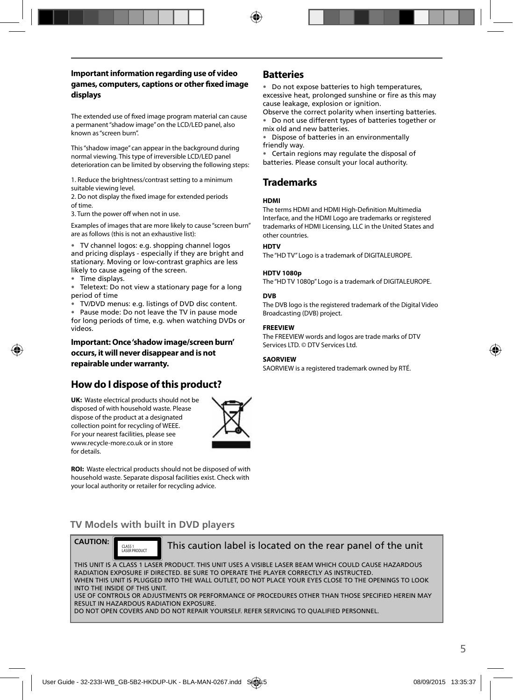#### **Important information regarding use of video**  games, computers, captions or other fixed image **displays**

The extended use of fixed image program material can cause a permanent "shadow image" on the LCD/LED panel, also known as "screen burn".

This "shadow image" can appear in the background during normal viewing. This type of irreversible LCD/LED panel deterioration can be limited by observing the following steps:

1. Reduce the brightness/contrast setting to a minimum suitable viewing level.

2. Do not display the fixed image for extended periods of time.

3. Turn the power off when not in use.

Examples of images that are more likely to cause "screen burn" are as follows (this is not an exhaustive list):

• TV channel logos: e.g. shopping channel logos and pricing displays - especially if they are bright and stationary. Moving or low-contrast graphics are less likely to cause ageing of the screen.

• Time displays.

• Teletext: Do not view a stationary page for a long period of time

• TV/DVD menus: e.g. listings of DVD disc content.

• Pause mode: Do not leave the TV in pause mode for long periods of time, e.g. when watching DVDs or videos.

**Important: Once 'shadow image/screen burn' occurs, it will never disappear and is not repairable under warranty.**

### **How do I dispose of this product?**

**UK:** Waste electrical products should not be disposed of with household waste. Please dispose of the product at a designated collection point for recycling of WEEE. For your nearest facilities, please see www.recycle-more.co.uk or in store for details.



**ROI:** Waste electrical products should not be disposed of with household waste. Separate disposal facilities exist. Check with your local authority or retailer for recycling advice.

### **Batteries**

• Do not expose batteries to high temperatures, excessive heat, prolonged sunshine or fire as this may cause leakage, explosion or ignition.

Observe the correct polarity when inserting batteries. • Do not use different types of batteries together or mix old and new batteries.

• Dispose of batteries in an environmentally friendly way.

• Certain regions may regulate the disposal of batteries. Please consult your local authority.

### **Trademarks**

#### **HDMI**

The terms HDMI and HDMI High-Definition Multimedia Interface, and the HDMI Logo are trademarks or registered trademarks of HDMI Licensing, LLC in the United States and other countries.

#### **HDTV**

The "HD TV" Logo is a trademark of DIGITALEUROPE.

#### **HDTV 1080p**

The "HD TV 1080p" Logo is a trademark of DIGITALEUROPE.

#### **DVB**

The DVB logo is the registered trademark of the Digital Video Broadcasting (DVB) project.

#### **FREEVIEW**

The FREEVIEW words and logos are trade marks of DTV Services LTD. © DTV Services Ltd.

#### **SAORVIEW**

SAORVIEW is a registered trademark owned by RTÉ.

### **TV Models with built in DVD players**



CLASS 1<br>LASER PRODUCT

#### This caution label is located on the rear panel of the unit

THIS UNIT IS A CLASS 1 LASER PRODUCT. THIS UNIT USES A VISIBLE LASER BEAM WHICH COULD CAUSE HAZARDOUS RADIATION EXPOSURE IF DIRECTED. BE SURE TO OPERATE THE PLAYER CORRECTLY AS INSTRUCTED. WHEN THIS UNIT IS PLUGGED INTO THE WALL OUTLET, DO NOT PLACE YOUR EYES CLOSE TO THE OPENINGS TO LOOK INTO THE INSIDE OF THIS UNIT. USE OF CONTROLS OR ADJUSTMENTS OR PERFORMANCE OF PROCEDURES OTHER THAN THOSE SPECIFIED HEREIN MAY RESULT IN HAZARDOUS RADIATION EXPOSURE.

DO NOT OPEN COVERS AND DO NOT REPAIR YOURSELF. REFER SERVICING TO OUALIFIED PERSONNEL.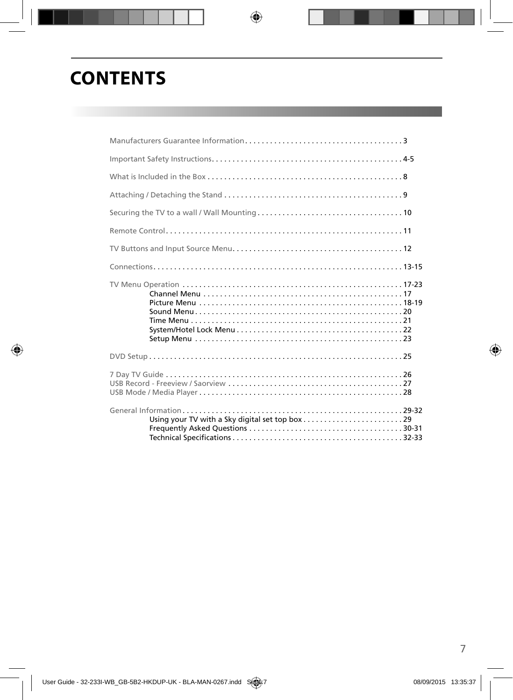## **CONTENTS**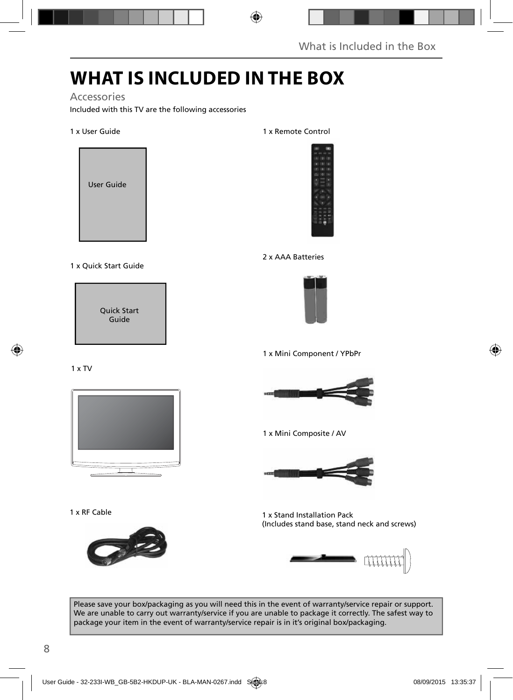## **WHAT IS INCLUDED IN THE BOX**

### Accessories

Included with this TV are the following accessories

#### 1 x User Guide



#### 1 x Quick Start Guide

Quick Start Guide

#### 1 x TV



1 x RF Cable



1 x Remote Control



#### 2 x AAA Batteries



1 x Mini Component / YPbPr



1 x Mini Composite / AV



1 x Stand Installation Pack (Includes stand base, stand neck and screws)



Please save your box/packaging as you will need this in the event of warranty/service repair or support. We are unable to carry out warranty/service if you are unable to package it correctly. The safest way to package your item in the event of warranty/service repair is in it's original box/packaging.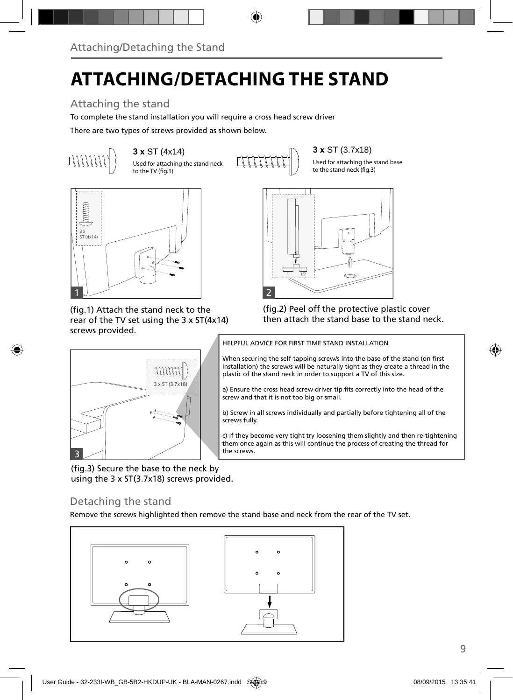## **ATTACHING/DETACHING THE STAND**

### Attaching the stand

To complete the stand installation you will require a cross head screw driver

There are two types of screws provided as shown below.



Used for attaching the stand neck

to the TV  $(f_0, 1)$ 

**3 x ST (4x14) 3 x ST (3.7x18) 3 x ST (3.7x18)** 

Used for attaching the stand base to the stand neck (fig.3)



(fig.1) Attach the stand neck to the rear of the TV set using the 3 x ST(4x14) screws provided.



(fig.2) Peel off the protective plastic cover then attach the stand base to the stand neck.



(fig.3) Secure the base to the neck by using the 3 x ST(3.7x18) screws provided.

### Detaching the stand

Remove the screws highlighted then remove the stand base and neck from the rear of the TV set.



HELPFUL ADVICE FOR FIRST TIME STAND INSTALLATION

When securing the self-tapping screw/s into the base of the stand (on first installation) the screw/s will be naturally tight as they create a thread in the plastic of the stand neck in order to support a TV of this size.

a) Ensure the cross head screw driver tip fits correctly into the head of the screw and that it is not too big or small.

b) Screw in all screws individually and partially before tightening all of the screws fully.

c) If they become very tight try loosening them slightly and then re-tightening them once again as this will continue the process of creating the thread for the screws.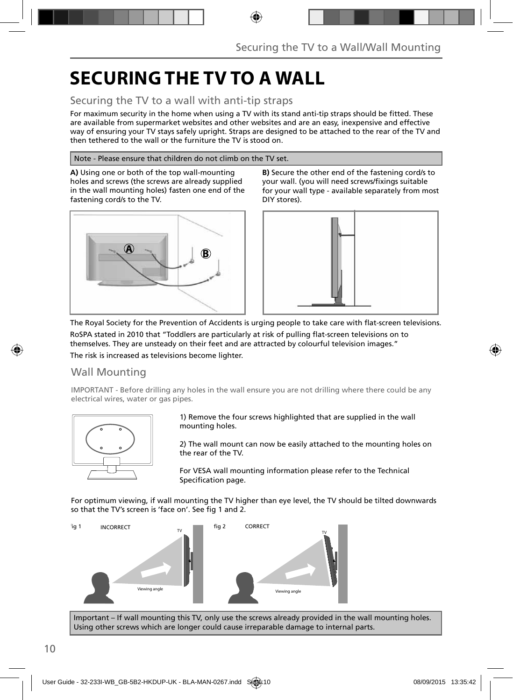## **SECURING THE TV TO A WALL**

### Securing the TV to a wall with anti-tip straps

For maximum security in the home when using a TV with its stand anti-tip straps should be fitted. These are available from supermarket websites and other websites and are an easy, inexpensive and effective way of ensuring your TV stays safely upright. Straps are designed to be attached to the rear of the TV and then tethered to the wall or the furniture the TV is stood on.

#### Note - Please ensure that children do not climb on the TV set.

**A)** Using one or both of the top wall-mounting holes and screws (the screws are already supplied in the wall mounting holes) fasten one end of the fastening cord/s to the TV.



**B)** Secure the other end of the fastening cord/s to your wall. (you will need screws/fixings suitable for your wall type - available separately from most DIY stores).



The Royal Society for the Prevention of Accidents is urging people to take care with flat-screen televisions.

RoSPA stated in 2010 that "Toddlers are particularly at risk of pulling flat-screen televisions on to themselves. They are unsteady on their feet and are attracted by colourful television images."

The risk is increased as televisions become lighter.

### Wall Mounting

IMPORTANT - Before drilling any holes in the wall ensure you are not drilling where there could be any electrical wires, water or gas pipes.



1) Remove the four screws highlighted that are supplied in the wall mounting holes.

2) The wall mount can now be easily attached to the mounting holes on the rear of the TV.

For VESA wall mounting information please refer to the Technical Specification page.

For optimum viewing, if wall mounting the TV higher than eye level, the TV should be tilted downwards so that the TV's screen is 'face on'. See fig 1 and 2.



Important – If wall mounting this TV, only use the screws already provided in the wall mounting holes. Using other screws which are longer could cause irreparable damage to internal parts.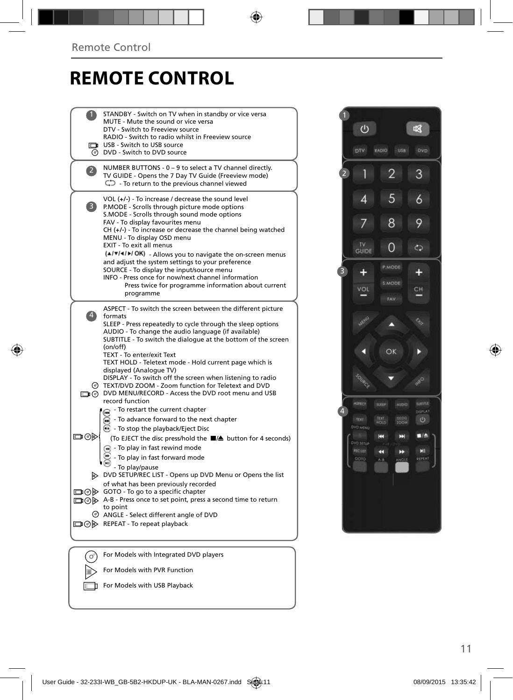## **REMOTE CONTROL**

|              | STANDBY - Switch on TV when in standby or vice versa<br>MUTE - Mute the sound or vice versa<br>DTV - Switch to Freeview source<br>RADIO - Switch to radio whilst in Freeview source<br>USB - Switch to USB source<br><b>O</b> DVD - Switch to DVD source                                                                                                                                                                                                                                                                                                                                                                                            |  |
|--------------|-----------------------------------------------------------------------------------------------------------------------------------------------------------------------------------------------------------------------------------------------------------------------------------------------------------------------------------------------------------------------------------------------------------------------------------------------------------------------------------------------------------------------------------------------------------------------------------------------------------------------------------------------------|--|
| $\mathbf{2}$ | NUMBER BUTTONS - 0 - 9 to select a TV channel directly.<br>TV GUIDE - Opens the 7 Day TV Guide (Freeview mode)<br>$\mathbb{C}$ - To return to the previous channel viewed                                                                                                                                                                                                                                                                                                                                                                                                                                                                           |  |
| 3)           | VOL (+/-) - To increase / decrease the sound level<br>P.MODE - Scrolls through picture mode options<br>S.MODE - Scrolls through sound mode options<br>FAV - To display favourites menu<br>CH (+/-) - To increase or decrease the channel being watched<br>MENU - To display OSD menu<br>EXIT - To exit all menus<br>(A/V/4/M/OK) - Allows you to navigate the on-screen menus<br>and adjust the system settings to your preference<br>SOURCE - To display the input/source menu<br>INFO - Press once for now/next channel information<br>Press twice for programme information about current<br>programme                                           |  |
| $\ket{4}$    | ASPECT - To switch the screen between the different picture<br>formats<br>SLEEP - Press repeatedly to cycle through the sleep options<br>AUDIO - To change the audio language (if available)<br>SUBTITLE - To switch the dialogue at the bottom of the screen<br>(on/off)<br>TEXT - To enter/exit Text<br>TEXT HOLD - Teletext mode - Hold current page which is<br>displayed (Analogue TV)<br>DISPLAY - To switch off the screen when listening to radio<br>© TEXT/DVD ZOOM - Zoom function for Teletext and DVD<br>DVD MENU/RECORD - Access the DVD root menu and USB<br>record function                                                          |  |
| ▭⊙⋫          | - To restart the current chapter<br>To advance forward to the next chapter<br><b>B</b> - To stop the playback/Eject Disc<br>(To EJECT the disc press/hold the ■▲ button for 4 seconds)<br>$\left( \widehat{A} \right)$ - To play in fast rewind mode<br>- To play in fast forward mode<br>- To play/pause<br>DVD SETUP/REC LIST - Opens up DVD Menu or Opens the list<br>of what has been previously recorded<br>$\Box$ $\odot$ $\odot$ GOTO - To go to a specific chapter<br>A-B - Press once to set point, press a second time to return<br>to point<br>$\circledcirc$ ANGLE - Select different angle of DVD<br>□ ⊙ D REPEAT - To repeat playback |  |
|              | For Models with Integrated DVD players                                                                                                                                                                                                                                                                                                                                                                                                                                                                                                                                                                                                              |  |
|              | For Models with PVR Function                                                                                                                                                                                                                                                                                                                                                                                                                                                                                                                                                                                                                        |  |

 $F$  For Models with USB Playback

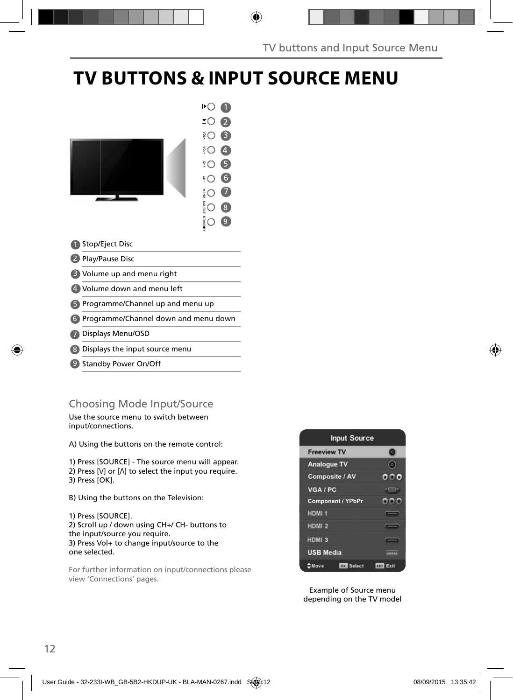## **TV BUTTONS & INPUT SOURCE MENU**



- 2 Play/Pause Disc
- Volume up and menu right 3
- Volume down and menu left 4
- 5) Programme/Channel up and menu up
- Programme/Channel down and menu down 6
- Displays Menu/OSD 7
- Displays the input source menu 8
- 9 Standby Power On/Off

### Choosing Mode Input/Source

Use the source menu to switch between input/connections.

A) Using the buttons on the remote control:

1) Press [SOURCE] - The source menu will appear. 2) Press  $[V]$  or  $[\Lambda]$  to select the input you require. 3) Press [OK].

B) Using the buttons on the Television:

1) Press [SOURCE]. 2) Scroll up / down using CH+/ CH- buttons to the input/source you require. 3) Press Vol+ to change input/source to the one selected.

For further information on input/connections please view 'Connections' pages.



Example of Source menu depending on the TV model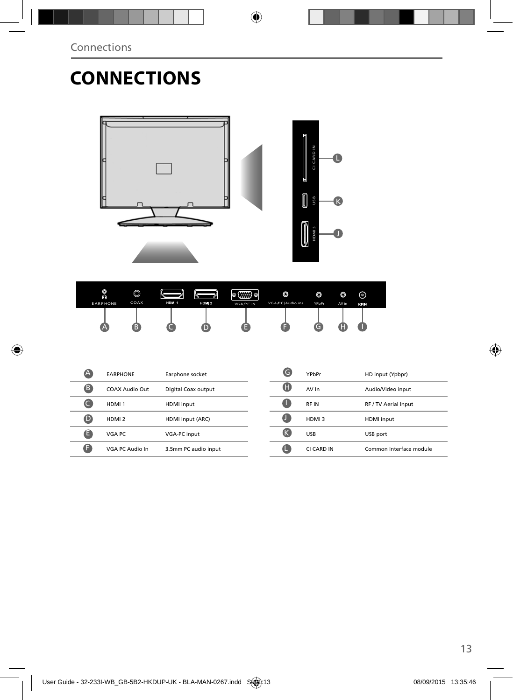## **CONNECTIONS**



| O<br>റ<br><b>EARPHONE</b> | O<br>COAX | HDMI <sub>1</sub> | HDM 2 | (⊞B) ©<br>ю<br><b>VGA/PC IN</b> | O<br>VGA/PC(Audio in) | ٥<br>YPbPr | O<br>AV in | ⊚<br>RF IN |
|---------------------------|-----------|-------------------|-------|---------------------------------|-----------------------|------------|------------|------------|
| ∠                         |           |                   |       |                                 |                       | ТG         | 47         |            |

| A           | <b>EARPHONE</b>       | Earphone socket      | lС | YPbPr       | HD input (Ypbpr)        |
|-------------|-----------------------|----------------------|----|-------------|-------------------------|
| ß           | <b>COAX Audio Out</b> | Digital Coax output  | G  | AV In       | Audio/Video input       |
|             | HDMI <sub>1</sub>     | <b>HDMI</b> input    | U  | <b>RFIN</b> | RF / TV Aerial Input    |
| $\mathbf 0$ | HDMI <sub>2</sub>     | HDMI input (ARC)     | U  | HDMI3       | <b>HDMI</b> input       |
| G           | VGA PC                | VGA-PC input         | ЧK | <b>USB</b>  | USB port                |
| ß           | VGA PC Audio In       | 3.5mm PC audio input |    | CI CARD IN  | Common Interface module |
|             |                       |                      |    |             |                         |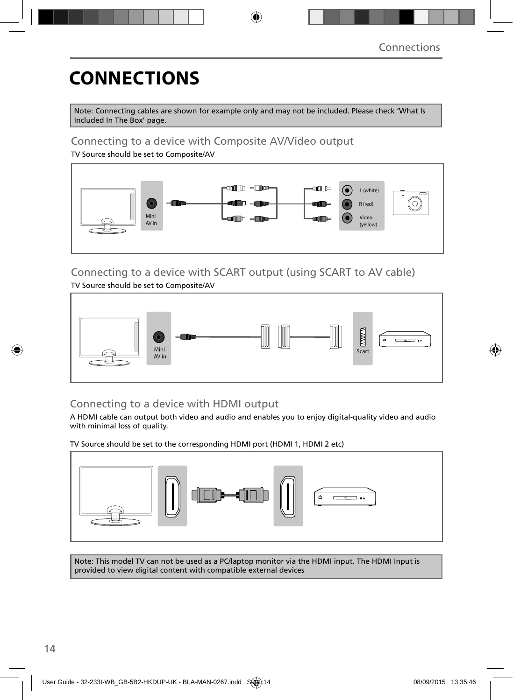## **CONNECTIONS**

Note: Connecting cables are shown for example only and may not be included. Please check 'What Is Included In The Box' page.

### Connecting to a device with Composite AV/Video output

TV Source should be set to Composite/AV



### Connecting to a device with SCART output (using SCART to AV cable) TV Source should be set to Composite/AV



### Connecting to a device with HDMI output

A HDMI cable can output both video and audio and enables you to enjoy digital-quality video and audio with minimal loss of quality.

TV Source should be set to the corresponding HDMI port (HDMI 1, HDMI 2 etc)



Note: This model TV can not be used as a PC/laptop monitor via the HDMI input. The HDMI Input is provided to view digital content with compatible external devices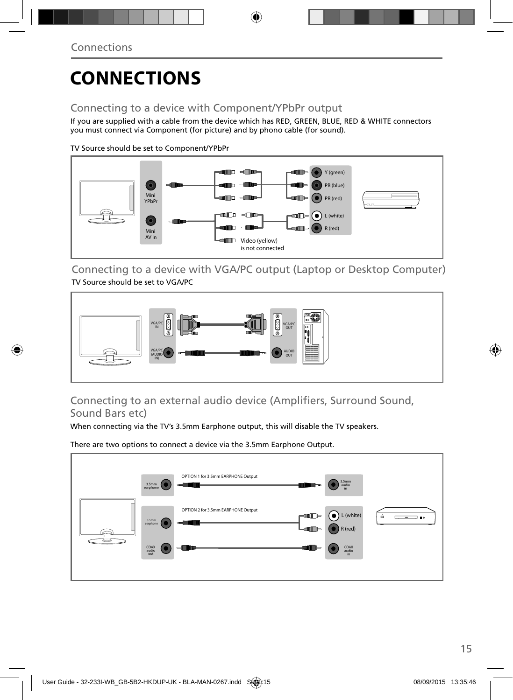# **CONNECTIONS**

### Connecting to a device with Component/YPbPr output

If you are supplied with a cable from the device which has RED, GREEN, BLUE, RED & WHITE connectors you must connect via Component (for picture) and by phono cable (for sound).

TV Source should be set to Component/YPbPr



Connecting to a device with VGA/PC output (Laptop or Desktop Computer) TV Source should be set to VGA/PC



### Connecting to an external audio device (Amplifiers, Surround Sound, Sound Bars etc)

When connecting via the TV's 3.5mm Earphone output, this will disable the TV speakers.

There are two options to connect a device via the 3.5mm Earphone Output.

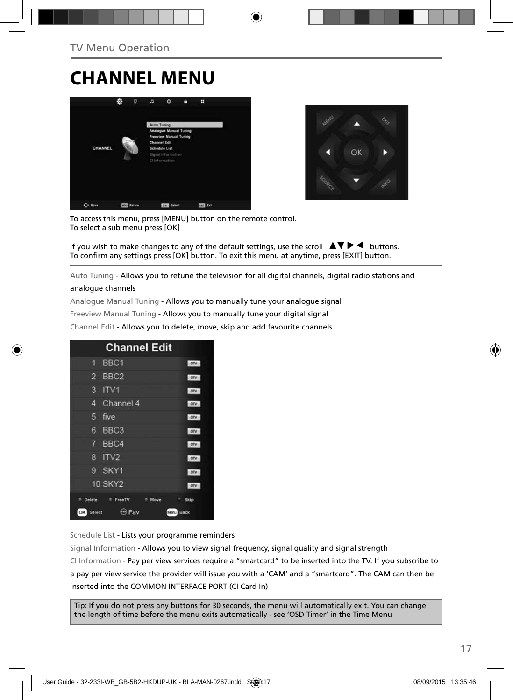## **CHANNEL MENU**





To access this menu, press [MENU] button on the remote control. To select a sub menu press [OK]

If you wish to make changes to any of the default settings, use the scroll  $\blacktriangle \blacktriangledown \blacktriangleright \blacktriangleleft$  buttons. To confirm any settings press [OK] button. To exit this menu at anytime, press [EXIT] button.

Auto Tuning - Allows you to retune the television for all digital channels, digital radio stations and

#### analogue channels

Analogue Manual Tuning - Allows you to manually tune your analogue signal

Freeview Manual Tuning - Allows you to manually tune your digital signal

Channel Edit - Allows you to delete, move, skip and add favourite channels

| <b>Channel Edit</b>                   |              |
|---------------------------------------|--------------|
| BBC <sub>1</sub><br>9                 | onv          |
| $\overline{2}$<br>BBC <sub>2</sub>    | otv          |
| 3<br>IV1                              | otv          |
| Channel 4<br>4                        | ory          |
| 5<br>five                             | otv          |
| BBC <sub>3</sub><br>6                 | DIV          |
| $\mathbf{7}$<br>BBC4                  | otv          |
| IV2<br>8                              | onv          |
| SKY1<br>g                             | onv          |
| <b>10 SKY2</b>                        | otv          |
| Delete<br><sup>#</sup> FreeTV<br>Move | Skip         |
| <b>Expertise</b><br>OK<br>Select      | Back<br>Menu |

Schedule List - Lists your programme reminders

Signal Information - Allows you to view signal frequency, signal quality and signal strength CI Information - Pay per view services require a "smartcard" to be inserted into the TV. If you subscribe to a pay per view service the provider will issue you with a 'CAM' and a "smartcard". The CAM can then be inserted into the COMMON INTERFACE PORT (CI Card In)

Tip: If you do not press any buttons for 30 seconds, the menu will automatically exit. You can change the length of time before the menu exits automatically - see 'OSD Timer' in the Time Menu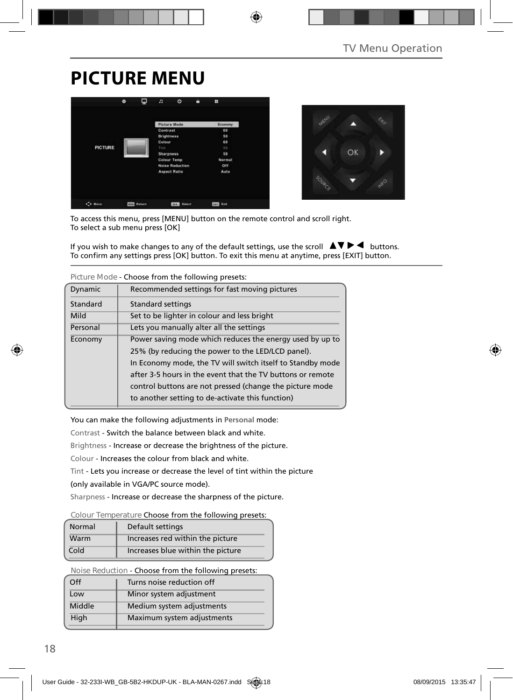## **PICTURE MENU**





To access this menu, press [MENU] button on the remote control and scroll right. To select a sub menu press [OK]

If you wish to make changes to any of the default settings, use the scroll  $\blacktriangle \blacktriangledown \blacktriangleright \blacktriangleleft$  buttons. To confirm any settings press [OK] button. To exit this menu at anytime, press [EXIT] button.

|          | CHOOSE ITOM LITE TONOWING MICSCLS.                         |
|----------|------------------------------------------------------------|
| Dynamic  | Recommended settings for fast moving pictures              |
| Standard | <b>Standard settings</b>                                   |
| Mild     | Set to be lighter in colour and less bright                |
| Personal | Lets you manually alter all the settings                   |
| Economy  | Power saving mode which reduces the energy used by up to   |
|          | 25% (by reducing the power to the LED/LCD panel).          |
|          | In Economy mode, the TV will switch itself to Standby mode |
|          | after 3-5 hours in the event that the TV buttons or remote |
|          | control buttons are not pressed (change the picture mode   |
|          | to another setting to de-activate this function)           |

**Picture Mode** - Choose from the following presets:

You can make the following adjustments in **Personal** mode:

Contrast - Switch the balance between black and white.

Brightness - Increase or decrease the brightness of the picture.

Colour - Increases the colour from black and white.

Tint - Lets you increase or decrease the level of tint within the picture

(only available in VGA/PC source mode).

Sharpness - Increase or decrease the sharpness of the picture.

#### **Colour Temperature** Choose from the following presets:

| Normal | Default settings                  |
|--------|-----------------------------------|
| Warm   | Increases red within the picture  |
| Cold   | Increases blue within the picture |

**Noise Reduction** - Choose from the following presets:

| $\Omega$ | Turns noise reduction off  |
|----------|----------------------------|
| Low      | Minor system adjustment    |
| Middle   | Medium system adjustments  |
| High     | Maximum system adjustments |
|          |                            |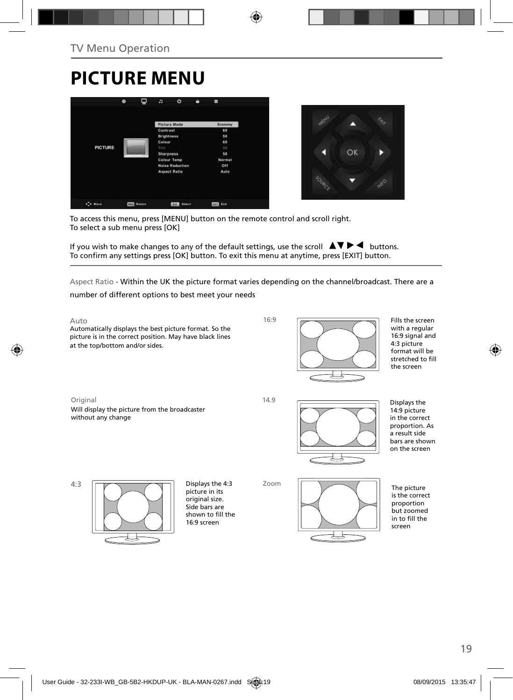## **PICTURE MENU**





To access this menu, press [MENU] button on the remote control and scroll right. To select a sub menu press [OK]

If you wish to make changes to any of the default settings, use the scroll  $\blacktriangle \blacktriangledown \blacktriangleright \blacktriangleleft$  buttons. To confirm any settings press [OK] button. To exit this menu at anytime, press [EXIT] button.

Aspect Ratio - Within the UK the picture format varies depending on the channel/broadcast. There are a number of different options to best meet your needs

Auto Automatically displays the best picture format. So the picture is in the correct position. May have black lines at the top/bottom and/or sides. Zoom Original 16:9 The picture is the correct proportion but zoomed in to fill the screen Will display the picture from the broadcaster without any change 14.9 4:3 Displays the 14:9 picture in the correct proportion. As a result side bars are shown on the screen Displays the 4:3 picture in its original size. Side bars are shown to fill the 16:9 screen Fills the screen with a regular 16:9 signal and 4:3 picture format will be stretched to fill the screen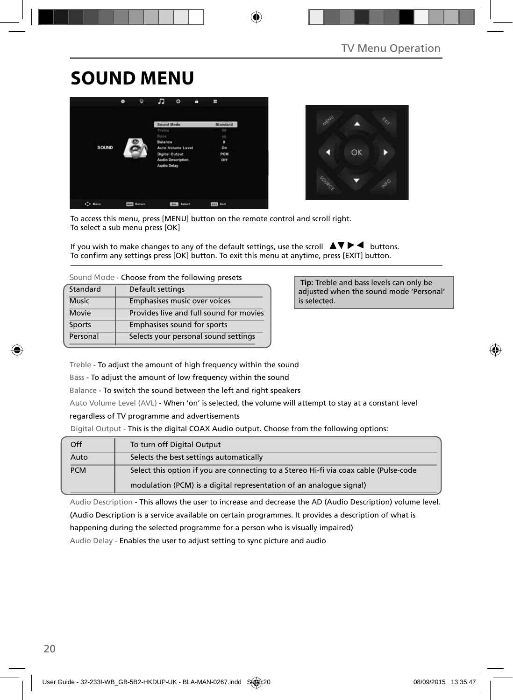## **SOUND MENU**





To access this menu, press [MENU] button on the remote control and scroll right. To select a sub menu press [OK]

If you wish to make changes to any of the default settings, use the scroll  $\Box \blacktriangledown \blacktriangleright \blacktriangleleft$  buttons. To confirm any settings press [OK] button. To exit this menu at anytime, press [EXIT] button.

| Standard     | Default settings                        |
|--------------|-----------------------------------------|
| <b>Music</b> | Emphasises music over voices            |
| Movie        | Provides live and full sound for movies |
| Sports       | Emphasises sound for sports             |
| Personal     | Selects your personal sound settings    |

 **Tip:** Treble and bass levels can only be adjusted when the sound mode 'Personal' is selected.

Treble - To adjust the amount of high frequency within the sound

Bass - To adjust the amount of low frequency within the sound

Balance - To switch the sound between the left and right speakers

Auto Volume Level (AVL) - When 'on' is selected, the volume will attempt to stay at a constant level

#### regardless of TV programme and advertisements

Digital Output - This is the digital COAX Audio output. Choose from the following options:

| Off        | To turn off Digital Output                                                            |
|------------|---------------------------------------------------------------------------------------|
| Auto       | Selects the best settings automatically                                               |
| <b>PCM</b> | Select this option if you are connecting to a Stereo Hi-fi via coax cable (Pulse-code |
|            | modulation (PCM) is a digital representation of an analogue signal)                   |

Audio Description - This allows the user to increase and decrease the AD (Audio Description) volume level.

(Audio Description is a service available on certain programmes. It provides a description of what is

happening during the selected programme for a person who is visually impaired)

Audio Delay - Enables the user to adjust setting to sync picture and audio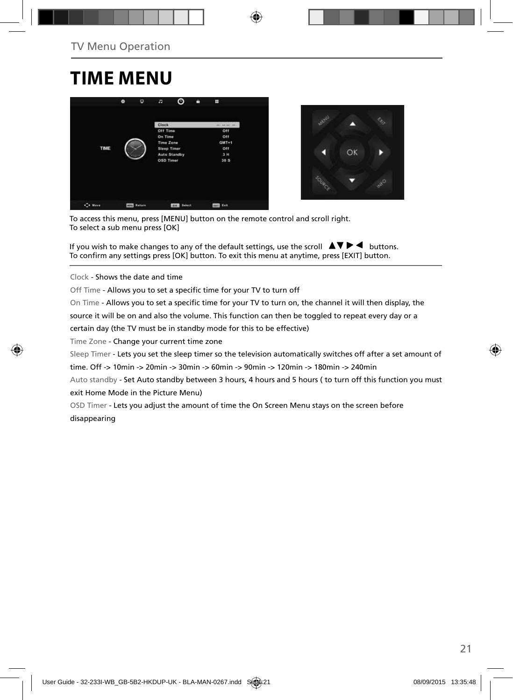## **TIME MENU**





To access this menu, press [MENU] button on the remote control and scroll right. To select a sub menu press [OK]

If you wish to make changes to any of the default settings, use the scroll  $\blacktriangle \blacktriangledown \blacktriangleright \blacktriangleleft$  buttons. To confirm any settings press [OK] button. To exit this menu at anytime, press [EXIT] button.

Clock - Shows the date and time

Off Time - Allows you to set a specific time for your TV to turn off

On Time - Allows you to set a specific time for your TV to turn on, the channel it will then display, the

source it will be on and also the volume. This function can then be toggled to repeat every day or a

certain day (the TV must be in standby mode for this to be effective)

Time Zone - Change your current time zone

Sleep Timer - Lets you set the sleep timer so the television automatically switches off after a set amount of

time. Off -> 10min -> 20min -> 30min -> 60min -> 90min -> 120min -> 180min -> 240min

Auto standby - Set Auto standby between 3 hours, 4 hours and 5 hours ( to turn off this function you must exit Home Mode in the Picture Menu)

OSD Timer - Lets you adjust the amount of time the On Screen Menu stays on the screen before disappearing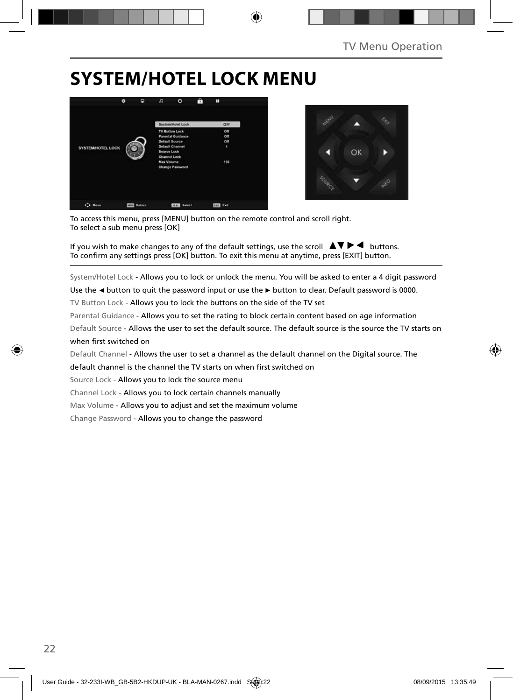## **SYSTEM/HOTEL LOCK MENU**





To access this menu, press [MENU] button on the remote control and scroll right. To select a sub menu press [OK]

If you wish to make changes to any of the default settings, use the scroll  $\Delta \nabla \blacktriangleright$   $\blacktriangleleft$  buttons. To confirm any settings press [OK] button. To exit this menu at anytime, press [EXIT] button.

System/Hotel Lock - Allows you to lock or unlock the menu. You will be asked to enter a 4 digit password

Use the **◄** button to quit the password input or use the **►** button to clear. Default password is 0000.

TV Button Lock - Allows you to lock the buttons on the side of the TV set

Parental Guidance - Allows you to set the rating to block certain content based on age information

Default Source - Allows the user to set the default source. The default source is the source the TV starts on when first switched on

Default Channel - Allows the user to set a channel as the default channel on the Digital source. The

default channel is the channel the TV starts on when first switched on

Source Lock - Allows you to lock the source menu

Channel Lock - Allows you to lock certain channels manually

Max Volume - Allows you to adjust and set the maximum volume

Change Password - Allows you to change the password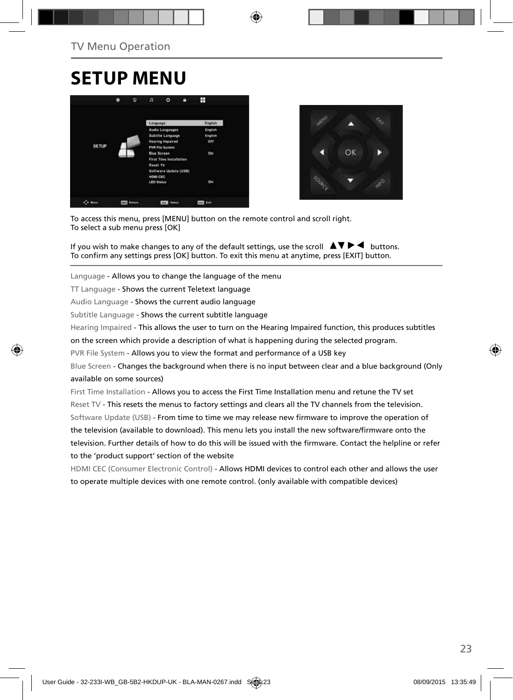## **SETUP MENU**





To access this menu, press [MENU] button on the remote control and scroll right. To select a sub menu press [OK]

If you wish to make changes to any of the default settings, use the scroll  $\Box \blacktriangledown \blacktriangleright \blacktriangleleft$  buttons. To confirm any settings press [OK] button. To exit this menu at anytime, press [EXIT] button.

Language - Allows you to change the language of the menu

TT Language - Shows the current Teletext language

Audio Language - Shows the current audio language

Subtitle Language - Shows the current subtitle language

Hearing Impaired - This allows the user to turn on the Hearing Impaired function, this produces subtitles

on the screen which provide a description of what is happening during the selected program.

PVR File System - Allows you to view the format and performance of a USB key

Blue Screen - Changes the background when there is no input between clear and a blue background (Only available on some sources)

First Time Installation - Allows you to access the First Time Installation menu and retune the TV set Reset TV - This resets the menus to factory settings and clears all the TV channels from the television. Software Update (USB) - From time to time we may release new firmware to improve the operation of the television (available to download). This menu lets you install the new software/firmware onto the television. Further details of how to do this will be issued with the firmware. Contact the helpline or refer to the 'product support' section of the website

HDMI CEC (Consumer Electronic Control) - Allows HDMI devices to control each other and allows the user to operate multiple devices with one remote control. (only available with compatible devices)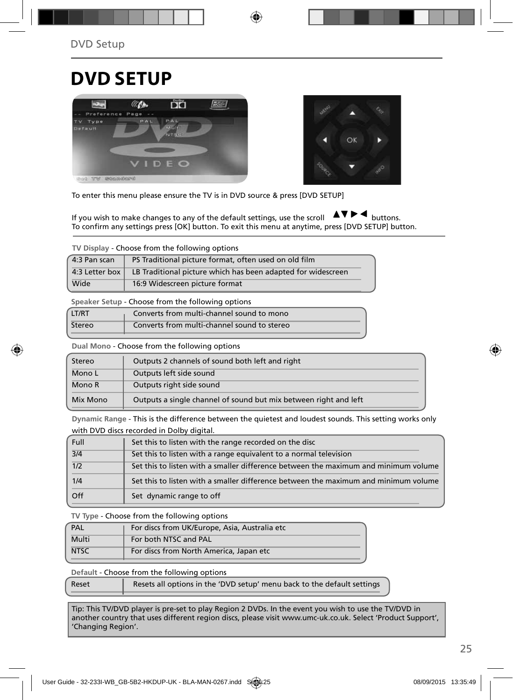## **DVD SETUP**





To enter this menu please ensure the TV is in DVD source & press [DVD SETUP]

If you wish to make changes to any of the default settings, use the scroll  $\Delta \nabla \blacktriangleright$   $\blacktriangleleft$  buttons. To confirm any settings press [OK] button. To exit this menu at anytime, press [DVD SETUP] button.

**TV Display** - Choose from the following options

| 4:3 Pan scan   | PS Traditional picture format, often used on old film        |
|----------------|--------------------------------------------------------------|
| 4:3 Letter box | LB Traditional picture which has been adapted for widescreen |
| Wide           | 16:9 Widescreen picture format                               |

**Speaker Setup** - Choose from the following options

| LT/RT  | Converts from multi-channel sound to mono   |  |
|--------|---------------------------------------------|--|
| Stereo | Converts from multi-channel sound to stereo |  |

**Dual Mono** - Choose from the following options

| Stereo   | Outputs 2 channels of sound both left and right                  |  |
|----------|------------------------------------------------------------------|--|
| Mono L   | Outputs left side sound                                          |  |
| Mono R   | Outputs right side sound                                         |  |
| Mix Mono | Outputs a single channel of sound but mix between right and left |  |

**Dynamic Range** - This is the difference between the quietest and loudest sounds. This setting works only with DVD discs recorded in Dolby digital.

| Full             | Set this to listen with the range recorded on the disc                              |
|------------------|-------------------------------------------------------------------------------------|
| $\overline{3/4}$ | Set this to listen with a range equivalent to a normal television                   |
| 1/2              | Set this to listen with a smaller difference between the maximum and minimum volume |
| 1/4              | Set this to listen with a smaller difference between the maximum and minimum volume |
| Off              | Set dynamic range to off                                                            |

**TV Type** - Choose from the following options

| PAL         | For discs from UK/Europe, Asia, Australia etc |  |  |
|-------------|-----------------------------------------------|--|--|
| Multi       | For both NTSC and PAL                         |  |  |
| <b>NTSC</b> | For discs from North America, Japan etc       |  |  |

**Default** - Choose from the following options

| Reset | Resets all options in the 'DVD setup' menu back to the default settings |
|-------|-------------------------------------------------------------------------|
|       |                                                                         |

Tip: This TV/DVD player is pre-set to play Region 2 DVDs. In the event you wish to use the TV/DVD in another country that uses different region discs, please visit www.umc-uk.co.uk. Select 'Product Support', 'Changing Region'.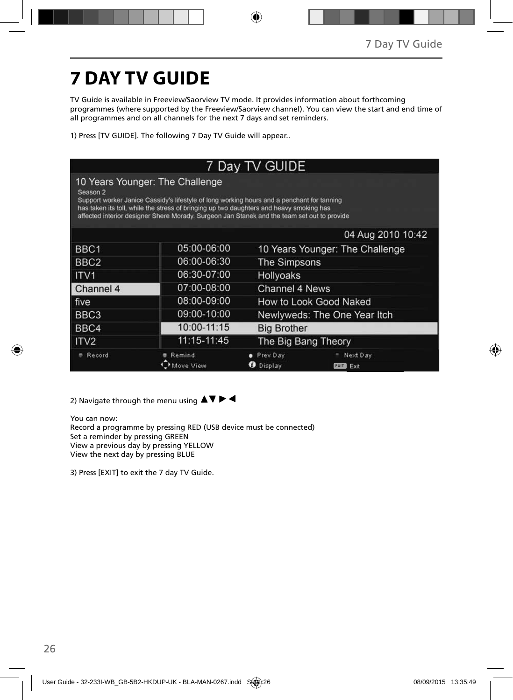# **7 DAY TV GUIDE**

TV Guide is available in Freeview/Saorview TV mode. It provides information about forthcoming programmes (where supported by the Freeview/Saorview channel). You can view the start and end time of all programmes and on all channels for the next 7 days and set reminders.

1) Press [TV GUIDE]. The following 7 Day TV Guide will appear..

| 7 Day TV GUIDE      |                                                                                                                                                                                                                                                                                                                         |                              |                                 |  |
|---------------------|-------------------------------------------------------------------------------------------------------------------------------------------------------------------------------------------------------------------------------------------------------------------------------------------------------------------------|------------------------------|---------------------------------|--|
| Season <sub>2</sub> | 10 Years Younger: The Challenge<br>Support worker Janice Cassidy's lifestyle of long working hours and a penchant for tanning<br>has taken its toll, while the stress of bringing up two daughters and heavy smoking has<br>affected interior designer Shere Morady. Surgeon Jan Stanek and the team set out to provide |                              |                                 |  |
|                     |                                                                                                                                                                                                                                                                                                                         |                              | 04 Aug 2010 10:42               |  |
| BBC <sub>1</sub>    | 05:00-06:00                                                                                                                                                                                                                                                                                                             |                              | 10 Years Younger: The Challenge |  |
| BBC <sub>2</sub>    | 06:00-06:30                                                                                                                                                                                                                                                                                                             | <b>The Simpsons</b>          |                                 |  |
| ITV <sub>1</sub>    | 06:30-07:00                                                                                                                                                                                                                                                                                                             | <b>Hollyoaks</b>             |                                 |  |
| Channel 4           | 07:00-08:00                                                                                                                                                                                                                                                                                                             | Channel 4 News               |                                 |  |
| five                | 08:00-09:00                                                                                                                                                                                                                                                                                                             |                              | How to Look Good Naked          |  |
| BBC <sub>3</sub>    | 09:00-10:00                                                                                                                                                                                                                                                                                                             | Newlyweds: The One Year Itch |                                 |  |
| BBC4                | 10:00-11:15                                                                                                                                                                                                                                                                                                             | <b>Big Brother</b>           |                                 |  |
| ITV <sub>2</sub>    | 11:15-11:45                                                                                                                                                                                                                                                                                                             | The Big Bang Theory          |                                 |  |
| Record              | Remind<br>fove View                                                                                                                                                                                                                                                                                                     | Prev Day<br>Display          | Next Day<br>Exit<br><b>EXIT</b> |  |

2) Navigate through the menu using  $\blacktriangle \blacktriangledown \blacktriangleright \blacktriangleleft$ 

You can now: Record a programme by pressing RED (USB device must be connected) Set a reminder by pressing GREEN View a previous day by pressing YELLOW View the next day by pressing BLUE

3) Press [EXIT] to exit the 7 day TV Guide.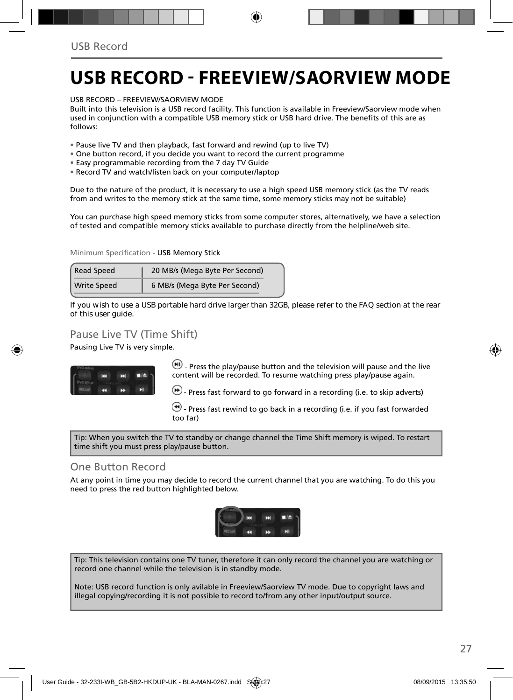## **USB RECORD - FREEVIEW/SAORVIEW MODE**

USB RECORD – FREEVIEW/SAORVIEW MODE

Built into this television is a USB record facility. This function is available in Freeview/Saorview mode when used in conjunction with a compatible USB memory stick or USB hard drive. The benefits of this are as follows:

- Pause live TV and then playback, fast forward and rewind (up to live TV)
- One button record, if you decide you want to record the current programme
- Easy programmable recording from the 7 day TV Guide
- Record TV and watch/listen back on your computer/laptop

Due to the nature of the product, it is necessary to use a high speed USB memory stick (as the TV reads from and writes to the memory stick at the same time, some memory sticks may not be suitable)

You can purchase high speed memory sticks from some computer stores, alternatively, we have a selection of tested and compatible memory sticks available to purchase directly from the helpline/web site.

Minimum Specification - USB Memory Stick

| <b>Read Speed</b>  | 20 MB/s (Mega Byte Per Second) |
|--------------------|--------------------------------|
| <b>Write Speed</b> | 6 MB/s (Mega Byte Per Second)  |

**If you wish to use a USB portable hard drive larger than 32GB, please refer to the FAQ section at the rear of this user guide.**

### Pause Live TV (Time Shift)

Pausing Live TV is very simple.



 $\Box$  Press the play/pause button and the television will pause and the live content will be recorded. To resume watching press play/pause again.

 $\bigcirc$  - Press fast forward to go forward in a recording (i.e. to skip adverts)

 $\bigcirc$  - Press fast rewind to go back in a recording (i.e. if you fast forwarded too far)

Tip: When you switch the TV to standby or change channel the Time Shift memory is wiped. To restart time shift you must press play/pause button.

#### One Button Record

At any point in time you may decide to record the current channel that you are watching. To do this you need to press the red button highlighted below.



Tip: This television contains one TV tuner, therefore it can only record the channel you are watching or record one channel while the television is in standby mode.

Note: USB record function is only avilable in Freeview/Saorview TV mode. Due to copyright laws and illegal copying/recording it is not possible to record to/from any other input/output source.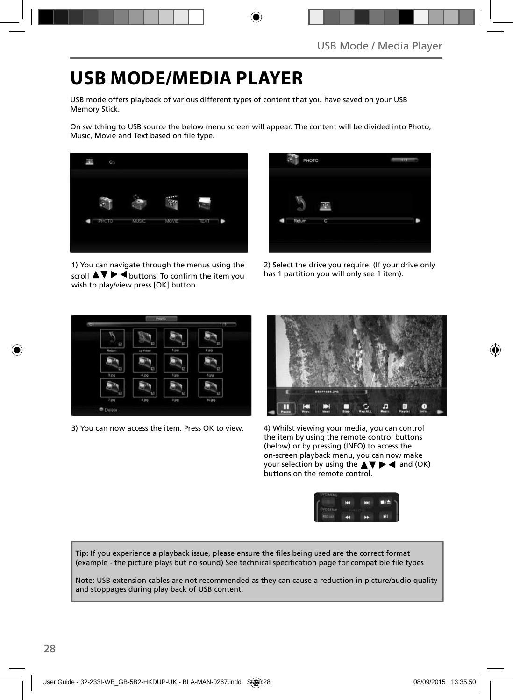## **USB MODE/MEDIA PLAYER**

USB mode offers playback of various different types of content that you have saved on your USB Memory Stick.

On switching to USB source the below menu screen will appear. The content will be divided into Photo, Music, Movie and Text based on file type.



1) You can navigate through the menus using the scroll  $\triangle \triangledown \triangleright \blacktriangleleft$  buttons. To confirm the item you wish to play/view press [OK] button.

| PHOTO  |   | m |
|--------|---|---|
| Return | C |   |

2) Select the drive you require. (If your drive only has 1 partition you will only see 1 item).



3) You can now access the item. Press OK to view. 4) Whilst viewing your media, you can control



the item by using the remote control buttons (below) or by pressing (INFO) to access the on-screen playback menu, you can now make your selection by using the  $\triangle \blacktriangledown \blacktriangleright \blacktriangleleft$  and (OK) buttons on the remote control.



Tip: If you experience a playback issue, please ensure the files being used are the correct format (example - the picture plays but no sound) See technical specification page for compatible file types

Note: USB extension cables are not recommended as they can cause a reduction in picture/audio quality and stoppages during play back of USB content.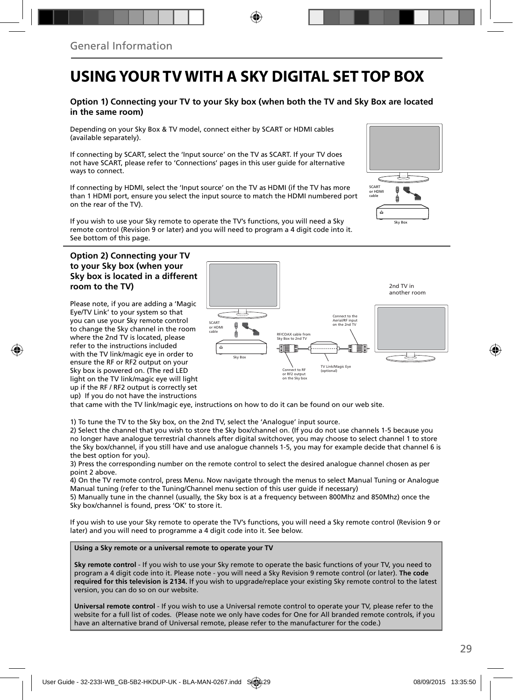### **USING YOUR TV WITH A SKY DIGITAL SET TOP BOX**

#### **Option 1) Connecting your TV to your Sky box (when both the TV and Sky Box are located in the same room)**

Depending on your Sky Box & TV model, connect either by SCART or HDMI cables (available separately).

If connecting by SCART, select the 'Input source' on the TV as SCART. If your TV does not have SCART, please refer to 'Connections' pages in this user guide for alternative ways to connect.

If connecting by HDMI, select the 'Input source' on the TV as HDMI (if the TV has more than 1 HDMI port, ensure you select the input source to match the HDMI numbered port on the rear of the TV).

If you wish to use your Sky remote to operate the TV's functions, you will need a Sky remote control (Revision 9 or later) and you will need to program a 4 digit code into it. See bottom of this page.

#### **Option 2) Connecting your TV to your Sky box (when your Sky box is located in a different room to the TV)**

Please note, if you are adding a 'Magic Eye/TV Link' to your system so that you can use your Sky remote control to change the Sky channel in the room where the 2nd TV is located, please refer to the instructions included with the TV link/magic eye in order to ensure the RF or RF2 output on your Sky box is powered on. (The red LED light on the TV link/magic eye will light up if the RF / RF2 output is correctly set up) If you do not have the instructions



Sky Box

**SCART** or HDMI cable

▔▃

that came with the TV link/magic eye, instructions on how to do it can be found on our web site.

1) To tune the TV to the Sky box, on the 2nd TV, select the 'Analogue' input source.

2) Select the channel that you wish to store the Sky box/channel on. (If you do not use channels 1-5 because you no longer have analogue terrestrial channels after digital switchover, you may choose to select channel 1 to store the Sky box/channel, if you still have and use analogue channels 1-5, you may for example decide that channel 6 is the best option for you).

3) Press the corresponding number on the remote control to select the desired analogue channel chosen as per point 2 above.

4) On the TV remote control, press Menu. Now navigate through the menus to select Manual Tuning or Analogue Manual tuning (refer to the Tuning/Channel menu section of this user guide if necessary)

5) Manually tune in the channel (usually, the Sky box is at a frequency between 800Mhz and 850Mhz) once the Sky box/channel is found, press 'OK' to store it.

If you wish to use your Sky remote to operate the TV's functions, you will need a Sky remote control (Revision 9 or later) and you will need to programme a 4 digit code into it. See below.

#### **Using a Sky remote or a universal remote to operate your TV**

**Sky remote control** - If you wish to use your Sky remote to operate the basic functions of your TV, you need to program a 4 digit code into it. Please note - you will need a Sky Revision 9 remote control (or later). **The code required for this television is 2134.** If you wish to upgrade/replace your existing Sky remote control to the latest version, you can do so on our website.

**Universal remote control** - If you wish to use a Universal remote control to operate your TV, please refer to the website for a full list of codes. (Please note we only have codes for One for All branded remote controls, if you have an alternative brand of Universal remote, please refer to the manufacturer for the code.)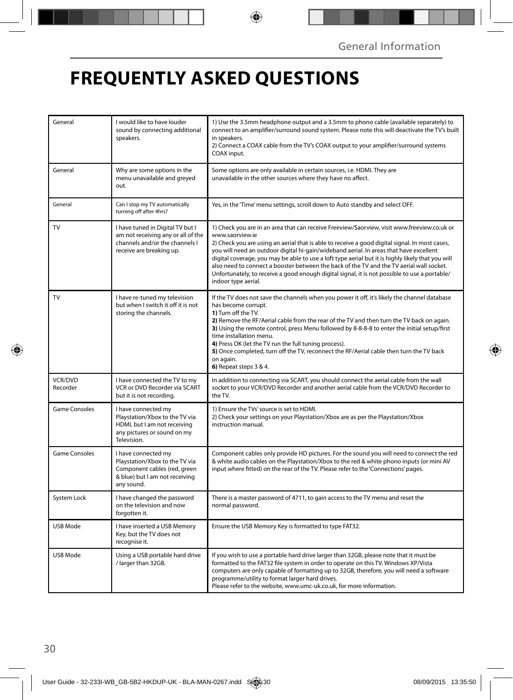## **FREQUENTLY ASKED QUESTIONS**

| General             | I would like to have louder<br>sound by connecting additional<br>speakers.                                                            | 1) Use the 3.5mm headphone output and a 3.5mm to phono cable (available separately) to<br>connect to an amplifier/surround sound system. Please note this will deactivate the TV's built<br>in speakers.<br>2) Connect a COAX cable from the TV's COAX output to your amplifier/surround systems<br>COAX input.                                                                                                                                                                                                                                                                                                                     |
|---------------------|---------------------------------------------------------------------------------------------------------------------------------------|-------------------------------------------------------------------------------------------------------------------------------------------------------------------------------------------------------------------------------------------------------------------------------------------------------------------------------------------------------------------------------------------------------------------------------------------------------------------------------------------------------------------------------------------------------------------------------------------------------------------------------------|
| General             | Why are some options in the<br>menu unavailable and greyed<br>out.                                                                    | Some options are only available in certain sources, i.e. HDMI. They are<br>unavailable in the other sources where they have no affect.                                                                                                                                                                                                                                                                                                                                                                                                                                                                                              |
| General             | Can I stop my TV automatically<br>turning off after 4hrs?                                                                             | Yes, in the 'Time' menu settings, scroll down to Auto standby and select OFF.                                                                                                                                                                                                                                                                                                                                                                                                                                                                                                                                                       |
| TV                  | I have tuned in Digital TV but I<br>am not receiving any or all of the<br>channels and/or the channels I<br>receive are breaking up.  | 1) Check you are in an area that can receive Freeview/Saorview, visit www.freeview.co.uk or<br>www.saorview.ie<br>2) Check you are using an aerial that is able to receive a good digital signal. In most cases,<br>you will need an outdoor digital hi-gain/wideband aerial. In areas that have excellent<br>digital coverage, you may be able to use a loft type aerial but it is highly likely that you will<br>also need to connect a booster between the back of the TV and the TV aerial wall socket.<br>Unfortunately, to receive a good enough digital signal, it is not possible to use a portable/<br>indoor type aerial. |
| TV                  | I have re-tuned my television<br>but when I switch it off it is not<br>storing the channels.                                          | If the TV does not save the channels when you power it off, it's likely the channel database<br>has become corrupt.<br>1) Turn off the TV.<br>2) Remove the RF/Aerial cable from the rear of the TV and then turn the TV back on again.<br>3) Using the remote control, press Menu followed by 8-8-8-8 to enter the initial setup/first<br>time installation menu.<br>4) Press OK (let the TV run the full tuning process).<br>5) Once completed, turn off the TV, reconnect the RF/Aerial cable then turn the TV back<br>on again.<br>6) Repeat steps 3 & 4.                                                                       |
| VCR/DVD<br>Recorder | I have connected the TV to my<br>VCR or DVD Recorder via SCART<br>but it is not recording.                                            | In addition to connecting via SCART, you should connect the aerial cable from the wall<br>socket to your VCR/DVD Recorder and another aerial cable from the VCR/DVD Recorder to<br>the TV.                                                                                                                                                                                                                                                                                                                                                                                                                                          |
| Game Consoles       | I have connected my<br>Playstation/Xbox to the TV via<br>HDMI, but I am not receiving<br>any pictures or sound on my<br>Television.   | 1) Ensure the TVs' source is set to HDMI.<br>2) Check your settings on your Playstation/Xbox are as per the Playstation/Xbox<br>instruction manual.                                                                                                                                                                                                                                                                                                                                                                                                                                                                                 |
| Game Consoles       | I have connected my<br>Playstation/Xbox to the TV via<br>Component cables (red, green<br>& blue) but I am not receiving<br>any sound. | Component cables only provide HD pictures. For the sound you will need to connect the red<br>& white audio cables on the Playstation/Xbox to the red & white phono inputs (or mini AV<br>input where fitted) on the rear of the TV. Please refer to the 'Connections' pages.                                                                                                                                                                                                                                                                                                                                                        |
| System Lock         | I have changed the password<br>on the television and now<br>forgotten it.                                                             | There is a master password of 4711, to gain access to the TV menu and reset the<br>normal password.                                                                                                                                                                                                                                                                                                                                                                                                                                                                                                                                 |
| USB Mode            | I have inserted a USB Memory<br>Key, but the TV does not<br>recognise it.                                                             | Ensure the USB Memory Key is formatted to type FAT32.                                                                                                                                                                                                                                                                                                                                                                                                                                                                                                                                                                               |
| USB Mode            | Using a USB portable hard drive<br>/ larger than 32GB.                                                                                | If you wish to use a portable hard drive larger than 32GB, please note that it must be<br>formatted to the FAT32 file system in order to operate on this TV. Windows XP/Vista<br>computers are only capable of formatting up to 32GB, therefore, you will need a software<br>programme/utility to format larger hard drives.<br>Please refer to the website, www.umc-uk.co.uk, for more information.                                                                                                                                                                                                                                |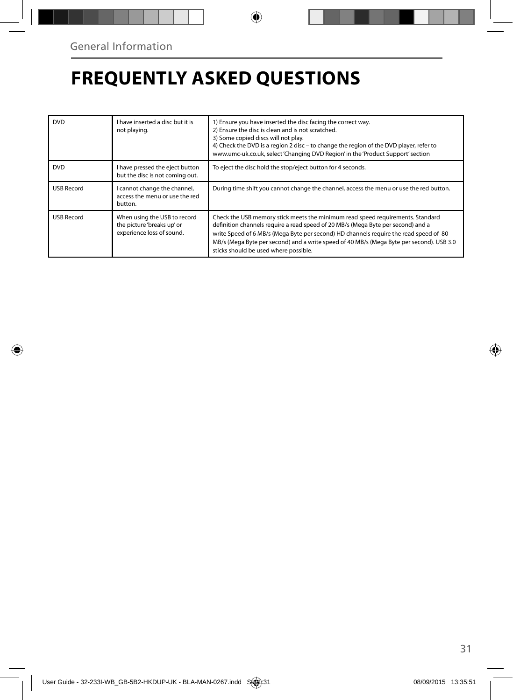## **FREQUENTLY ASKED QUESTIONS**

| <b>DVD</b>        | I have inserted a disc but it is<br>not playing.                                        | 1) Ensure you have inserted the disc facing the correct way.<br>2) Ensure the disc is clean and is not scratched.<br>3) Some copied discs will not play.<br>4) Check the DVD is a region 2 disc - to change the region of the DVD player, refer to<br>www.umc-uk.co.uk, select 'Changing DVD Region' in the 'Product Support' section                                                            |
|-------------------|-----------------------------------------------------------------------------------------|--------------------------------------------------------------------------------------------------------------------------------------------------------------------------------------------------------------------------------------------------------------------------------------------------------------------------------------------------------------------------------------------------|
| <b>DVD</b>        | I have pressed the eject button<br>but the disc is not coming out.                      | To eject the disc hold the stop/eject button for 4 seconds.                                                                                                                                                                                                                                                                                                                                      |
| <b>USB Record</b> | I cannot change the channel,<br>access the menu or use the red<br>button.               | During time shift you cannot change the channel, access the menu or use the red button.                                                                                                                                                                                                                                                                                                          |
| <b>USB Record</b> | When using the USB to record<br>the picture 'breaks up' or<br>experience loss of sound. | Check the USB memory stick meets the minimum read speed requirements. Standard<br>definition channels require a read speed of 20 MB/s (Mega Byte per second) and a<br>write Speed of 6 MB/s (Mega Byte per second) HD channels require the read speed of 80<br>MB/s (Mega Byte per second) and a write speed of 40 MB/s (Mega Byte per second). USB 3.0<br>sticks should be used where possible. |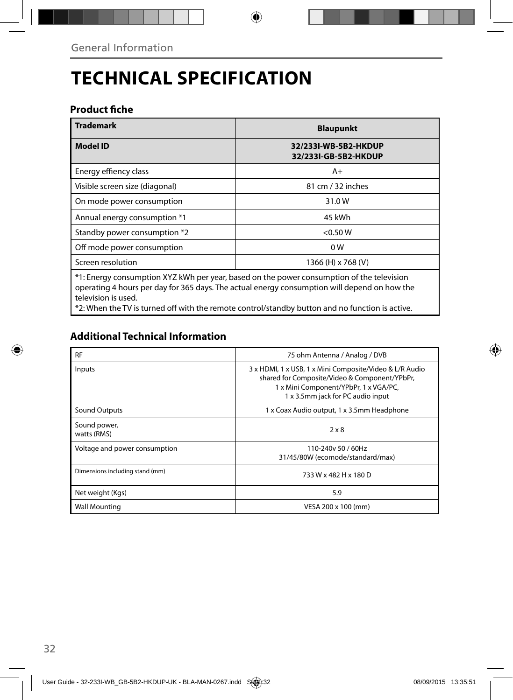## **TECHNICAL SPECIFICATION**

### **Product fiche**

| <b>Trademark</b>                                                                                                                                                                                                 | <b>Blaupunkt</b>                             |  |
|------------------------------------------------------------------------------------------------------------------------------------------------------------------------------------------------------------------|----------------------------------------------|--|
| <b>Model ID</b>                                                                                                                                                                                                  | 32/233I-WB-5B2-HKDUP<br>32/233I-GB-5B2-HKDUP |  |
| Energy effiency class                                                                                                                                                                                            | $A+$                                         |  |
| Visible screen size (diagonal)                                                                                                                                                                                   | 81 cm / 32 inches                            |  |
| On mode power consumption                                                                                                                                                                                        | 31.0W                                        |  |
| Annual energy consumption *1                                                                                                                                                                                     | 45 kWh                                       |  |
| Standby power consumption *2                                                                                                                                                                                     | $<$ 0.50 W                                   |  |
| Off mode power consumption                                                                                                                                                                                       | 0 <sub>W</sub>                               |  |
| Screen resolution                                                                                                                                                                                                | 1366 (H) x 768 (V)                           |  |
| *1: Energy consumption XYZ kWh per year, based on the power consumption of the television<br>operating 4 hours per day for 365 days. The actual energy consumption will depend on how the<br>television is used. |                                              |  |

\*2: When the TV is turned off with the remote control/standby button and no function is active.

### **Additional Technical Information**

| <b>RF</b>                       | 75 ohm Antenna / Analog / DVB                                                                                                                                                          |
|---------------------------------|----------------------------------------------------------------------------------------------------------------------------------------------------------------------------------------|
| Inputs                          | 3 x HDMI, 1 x USB, 1 x Mini Composite/Video & L/R Audio<br>shared for Composite/Video & Component/YPbPr,<br>1 x Mini Component/YPbPr, 1 x VGA/PC,<br>1 x 3.5mm jack for PC audio input |
| <b>Sound Outputs</b>            | 1 x Coax Audio output, 1 x 3.5mm Headphone                                                                                                                                             |
| Sound power,<br>watts (RMS)     | $2 \times 8$                                                                                                                                                                           |
| Voltage and power consumption   | 110-240y 50 / 60Hz<br>31/45/80W (ecomode/standard/max)                                                                                                                                 |
| Dimensions including stand (mm) | 733 W x 482 H x 180 D                                                                                                                                                                  |
| Net weight (Kgs)                | 5.9                                                                                                                                                                                    |
| <b>Wall Mounting</b>            | VESA 200 x 100 (mm)                                                                                                                                                                    |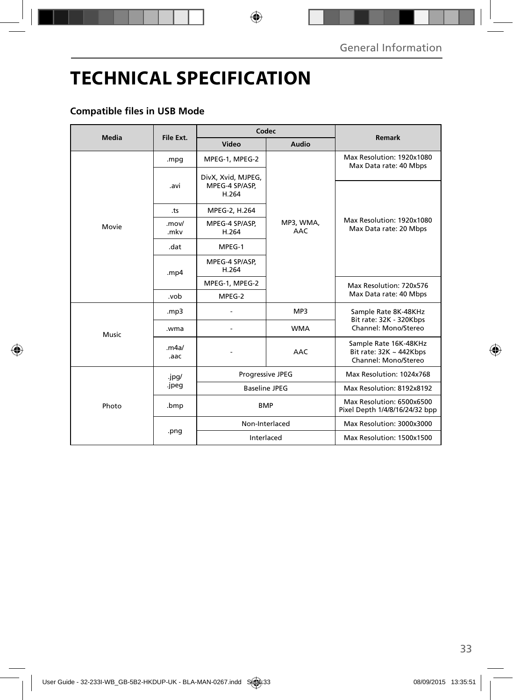## **TECHNICAL SPECIFICATION**

### **Compatible files in USB Mode**

| <b>Media</b> | File Ext.      | Codec                                         |                         | Remark                                                                        |
|--------------|----------------|-----------------------------------------------|-------------------------|-------------------------------------------------------------------------------|
|              |                | Video                                         | Audio                   |                                                                               |
| Movie        | .mpg           | MPEG-1, MPEG-2                                |                         | Max Resolution: 1920x1080<br>Max Data rate: 40 Mbps                           |
|              | .avi           | DivX, Xvid, MJPEG,<br>MPEG-4 SP/ASP,<br>H.264 | MP3, WMA,<br><b>AAC</b> | Max Resolution: 1920x1080<br>Max Data rate: 20 Mbps                           |
|              | .ts            | MPEG-2, H.264                                 |                         |                                                                               |
|              | .mov/<br>.mkv  | MPEG-4 SP/ASP,<br>H.264                       |                         |                                                                               |
|              | .dat           | MPEG-1                                        |                         |                                                                               |
|              | .mp4           | MPEG-4 SP/ASP,<br>H.264                       |                         |                                                                               |
|              |                | MPEG-1, MPEG-2                                |                         | Max Resolution: 720x576<br>Max Data rate: 40 Mbps                             |
|              | .vob           | MPEG-2                                        |                         |                                                                               |
| Music        | mp3.           |                                               | MP3                     | Sample Rate 8K-48KHz<br>Bit rate: 32K - 320Kbps<br>Channel: Mono/Stereo       |
|              | .wma           |                                               | <b>WMA</b>              |                                                                               |
|              | .m4a/<br>.aac  |                                               | <b>AAC</b>              | Sample Rate 16K-48KHz<br>Bit rate: $32K \sim 442Kbps$<br>Channel: Mono/Stereo |
| Photo        | .jpg/<br>.jpeg | Progressive JPEG                              |                         | Max Resolution: 1024x768                                                      |
|              |                | <b>Baseline JPEG</b>                          |                         | Max Resolution: 8192x8192                                                     |
|              | .bmp           | <b>BMP</b>                                    |                         | Max Resolution: 6500x6500<br>Pixel Depth 1/4/8/16/24/32 bpp                   |
|              | .png           | Non-Interlaced                                |                         | Max Resolution: 3000x3000                                                     |
|              |                | Interlaced                                    |                         | Max Resolution: 1500x1500                                                     |